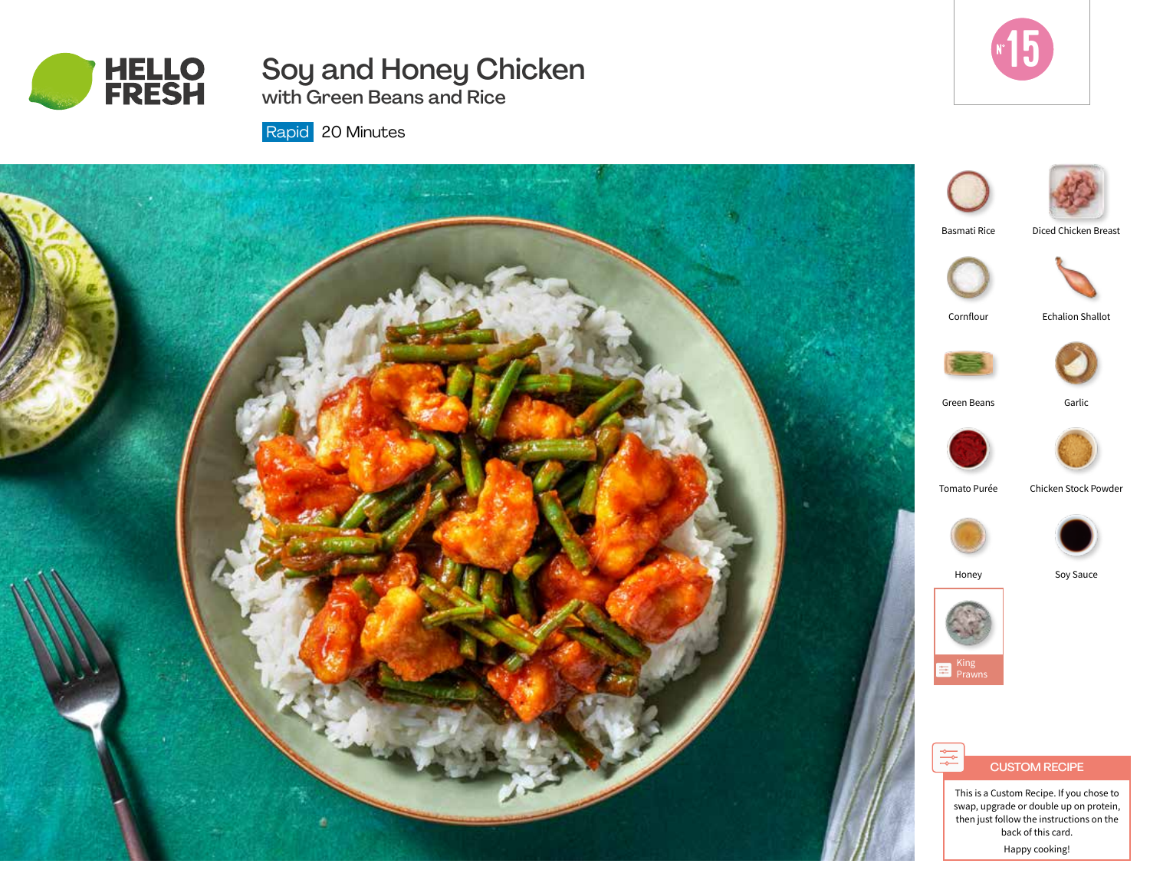

# Soy and Honey Chicken with Green Beans and Rice



Rapid 20 Minutes